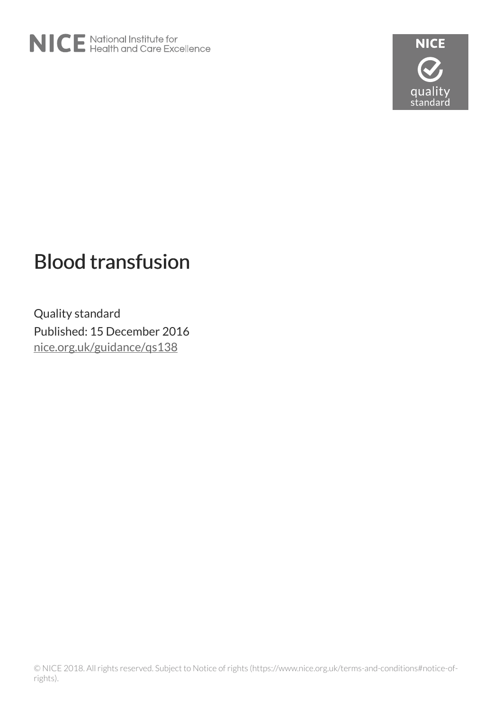



# Blood transfusion

Quality standard Published: 15 December 2016 [nice.org.uk/guidance/qs138](http://nice.org.uk/guidance/qs138)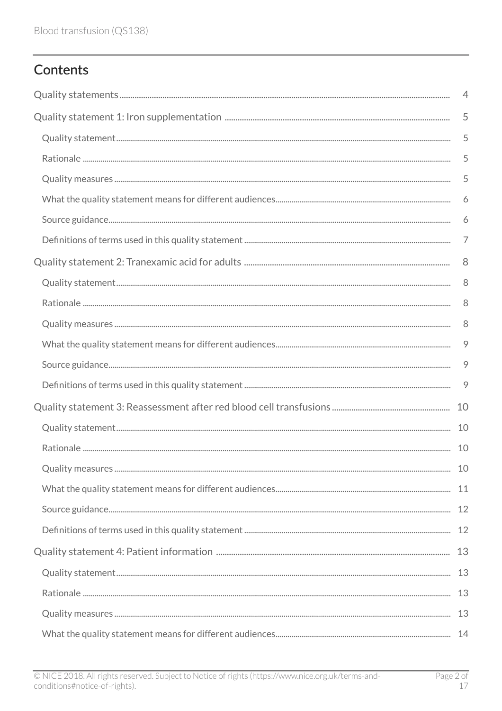# Contents

| 4              |
|----------------|
| 5              |
| 5              |
| 5              |
| 5              |
| 6              |
| 6              |
| $\overline{7}$ |
| 8              |
| 8              |
| 8              |
| 8              |
| 9              |
| 9              |
| 9              |
|                |
|                |
| 10             |
|                |
|                |
|                |
|                |
|                |
|                |
|                |
|                |
|                |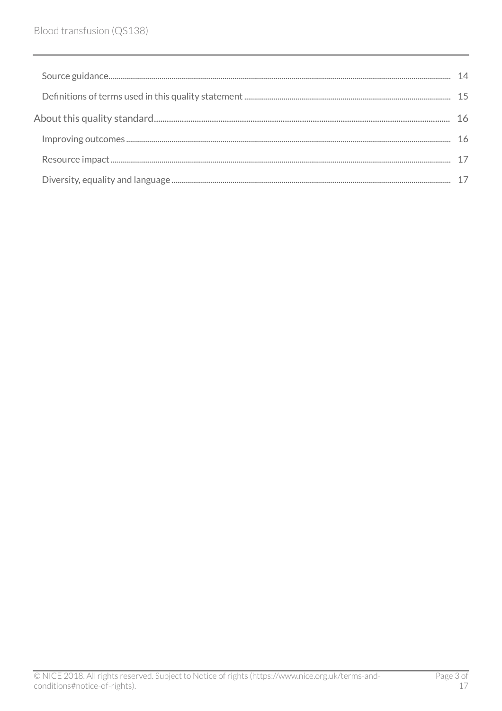| 16 |
|----|
|    |
|    |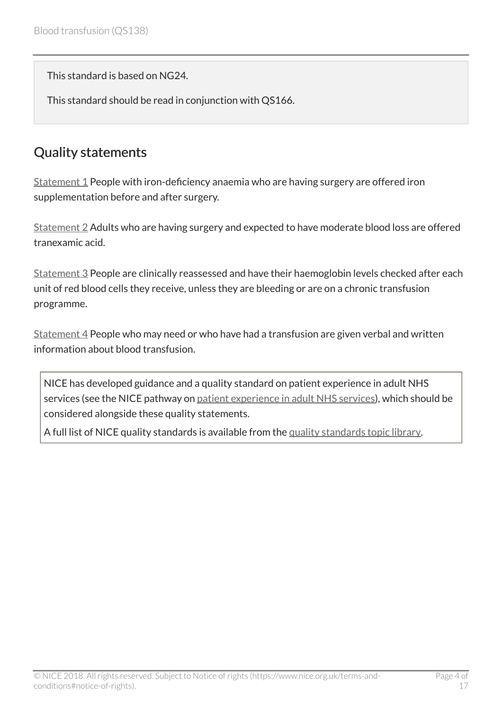This standard is based on NG24.

This standard should be read in conjunction with QS166.

# <span id="page-3-0"></span>Quality statements

 $Statement 1$  People with iron-deficiency anaemia who are having surgery are offered iron supplementation before and after surgery.

[Statement 2](http://live-publications.nice.org.uk/quality-statement-2-tranexamic-acid-for-adults#quality-statement-2-tranexamic-acid-for-adults) Adults who are having surgery and expected to have moderate blood loss are offered tranexamic acid.

[Statement 3](http://live-publications.nice.org.uk/quality-statement-3-reassessment-after-red-blood-cell-transfusions#quality-statement-3-reassessment-after-red-blood-cell-transfusions) People are clinically reassessed and have their haemoglobin levels checked after each unit of red blood cells they receive, unless they are bleeding or are on a chronic transfusion programme.

Statement  $4$  People who may need or who have had a transfusion are given verbal and written information about blood transfusion.

NICE has developed guidance and a quality standard on patient experience in adult NHS services (see the NICE pathway on [patient experience in adult NHS services](http://pathways.nice.org.uk/pathways/patient-experience-in-adult-nhs-services)), which should be considered alongside these quality statements.

A full list of NICE quality standards is available from the [quality standards topic library.](http://www.nice.org.uk/Standards-and-Indicators/Developing-NICE-quality-standards-/Quality-standards-topic-library)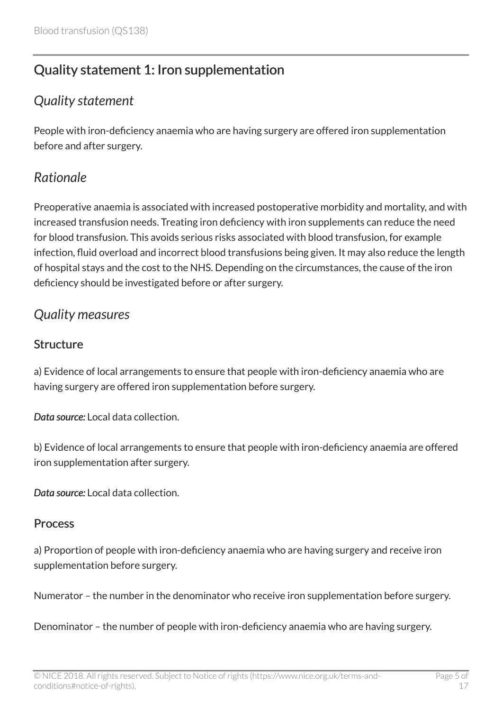# <span id="page-4-0"></span>Quality statement 1: Iron supplementation

# <span id="page-4-1"></span>*Quality statement*

People with iron-deficiency anaemia who are having surgery are offered iron supplementation before and after surgery.

# <span id="page-4-2"></span>*Rationale*

Preoperative anaemia is associated with increased postoperative morbidity and mortality, and with increased transfusion needs. Treating iron deficiency with iron supplements can reduce the need for blood transfusion. This avoids serious risks associated with blood transfusion, for example infection, fluid overload and incorrect blood transfusions being given. It may also reduce the length of hospital stays and the cost to the NHS. Depending on the circumstances, the cause of the iron deficiency should be investigated before or after surgery.

# <span id="page-4-3"></span>*Quality measures*

#### **Structure**

a) Evidence of local arrangements to ensure that people with iron-deficiency anaemia who are having surgery are offered iron supplementation before surgery.

*Data source:* Local data collection.

b) Evidence of local arrangements to ensure that people with iron-deficiency anaemia are offered iron supplementation after surgery.

*Data source:* Local data collection.

#### Process

a) Proportion of people with iron-deficiency anaemia who are having surgery and receive iron supplementation before surgery.

Numerator – the number in the denominator who receive iron supplementation before surgery.

Denominator – the number of people with iron-deficiency anaemia who are having surgery.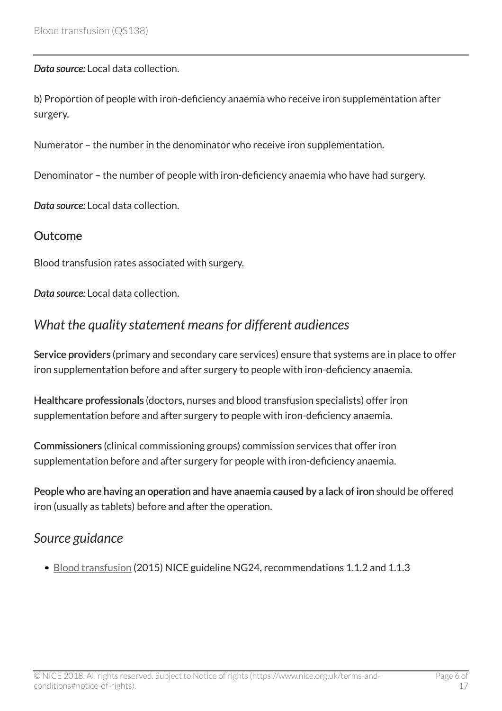*Data source:* Local data collection.

b) Proportion of people with iron-deficiency anaemia who receive iron supplementation after surgery.

Numerator – the number in the denominator who receive iron supplementation.

Denominator – the number of people with iron-deficiency anaemia who have had surgery.

*Data source:* Local data collection.

#### Outcome

Blood transfusion rates associated with surgery.

*Data source:* Local data collection.

# <span id="page-5-0"></span>*What the quality statement means for different audiences*

Service providers (primary and secondary care services) ensure that systems are in place to offer iron supplementation before and after surgery to people with iron-deficiency anaemia.

Healthcare professionals (doctors, nurses and blood transfusion specialists) offer iron supplementation before and after surgery to people with iron-deficiency anaemia.

Commissioners (clinical commissioning groups) commission services that offer iron supplementation before and after surgery for people with iron-deficiency anaemia.

People who are having an operation and have anaemia caused by a lack of iron should be offered iron (usually as tablets) before and after the operation.

### <span id="page-5-1"></span>*Source guidance*

[Blood transfusion](http://www.nice.org.uk/guidance/ng24) (2015) NICE guideline NG24, recommendations 1.1.2 and 1.1.3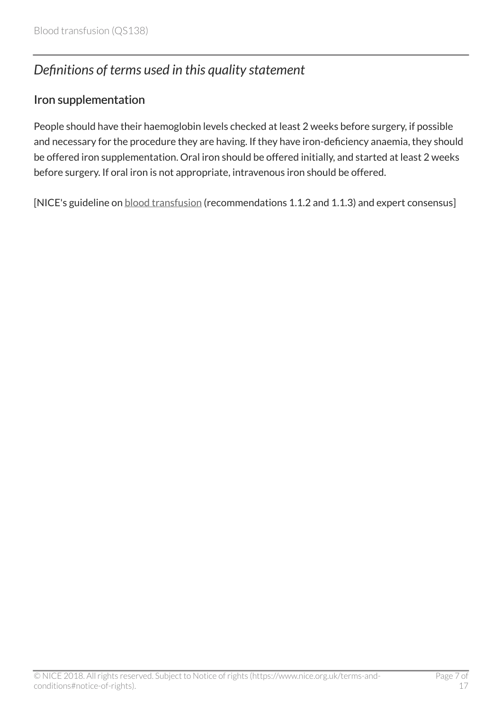# <span id="page-6-0"></span>*Definitions of terms used in this quality statement*

#### Iron supplementation

People should have their haemoglobin levels checked at least 2 weeks before surgery, if possible and necessary for the procedure they are having. If they have iron-deficiency anaemia, they should be offered iron supplementation. Oral iron should be offered initially, and started at least 2 weeks before surgery. If oral iron is not appropriate, intravenous iron should be offered.

[NICE's guideline on **[blood transfusion](http://www.nice.org.uk/guidance/ng24)** (recommendations 1.1.2 and 1.1.3) and expert consensus]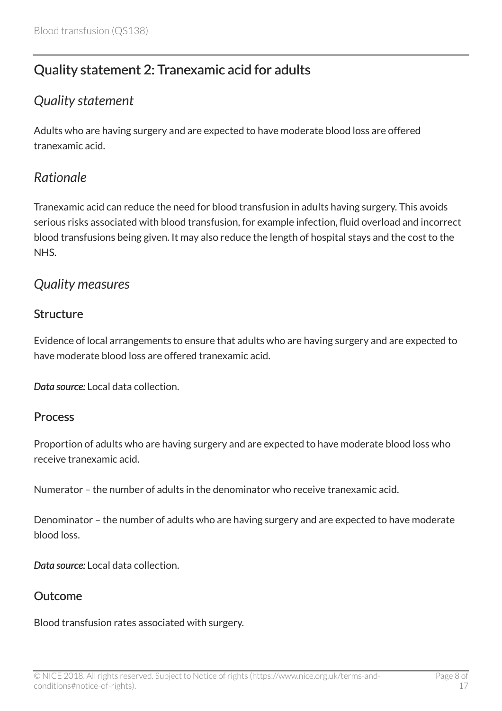# <span id="page-7-0"></span>Quality statement 2: Tranexamic acid for adults

# <span id="page-7-1"></span>*Quality statement*

Adults who are having surgery and are expected to have moderate blood loss are offered tranexamic acid.

### <span id="page-7-2"></span>*Rationale*

Tranexamic acid can reduce the need for blood transfusion in adults having surgery. This avoids serious risks associated with blood transfusion, for example infection, fluid overload and incorrect blood transfusions being given. It may also reduce the length of hospital stays and the cost to the NHS.

### <span id="page-7-3"></span>*Quality measures*

#### **Structure**

Evidence of local arrangements to ensure that adults who are having surgery and are expected to have moderate blood loss are offered tranexamic acid.

*Data source:* Local data collection.

#### Process

Proportion of adults who are having surgery and are expected to have moderate blood loss who receive tranexamic acid.

Numerator – the number of adults in the denominator who receive tranexamic acid.

Denominator – the number of adults who are having surgery and are expected to have moderate blood loss.

*Data source:* Local data collection.

#### Outcome

Blood transfusion rates associated with surgery.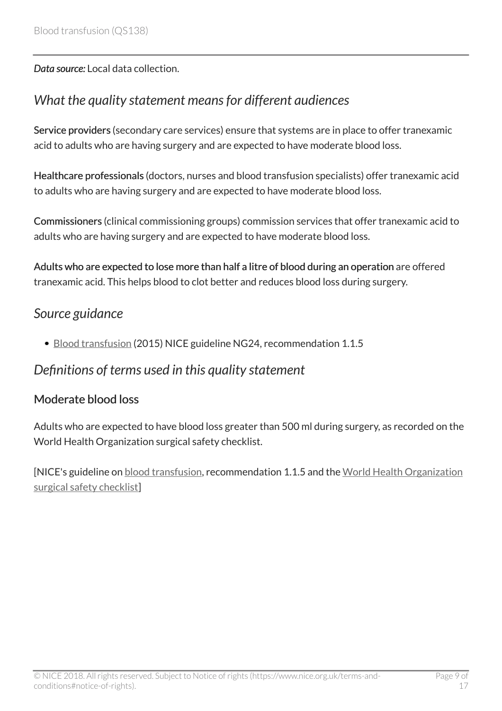*Data source:* Local data collection.

# <span id="page-8-0"></span>*What the quality statement means for different audiences*

Service providers (secondary care services) ensure that systems are in place to offer tranexamic acid to adults who are having surgery and are expected to have moderate blood loss.

Healthcare professionals (doctors, nurses and blood transfusion specialists) offer tranexamic acid to adults who are having surgery and are expected to have moderate blood loss.

Commissioners (clinical commissioning groups) commission services that offer tranexamic acid to adults who are having surgery and are expected to have moderate blood loss.

Adults who are expected to lose more than half a litre of blood during an operation are offered tranexamic acid. This helps blood to clot better and reduces blood loss during surgery.

### <span id="page-8-1"></span>*Source guidance*

[Blood transfusion](http://www.nice.org.uk/guidance/ng24) (2015) NICE guideline NG24, recommendation 1.1.5

### <span id="page-8-2"></span>*Definitions of terms used in this quality statement*

#### Moderate blood loss

Adults who are expected to have blood loss greater than 500 ml during surgery, as recorded on the World Health Organization surgical safety checklist.

[NICE's guideline on [blood transfusion](http://www.nice.org.uk/guidance/ng24), recommendation 1.1.5 and the [World Health Organization](http://www.who.int/patientsafety/safesurgery/ss_checklist/en/) [surgical safety checklist\]](http://www.who.int/patientsafety/safesurgery/ss_checklist/en/)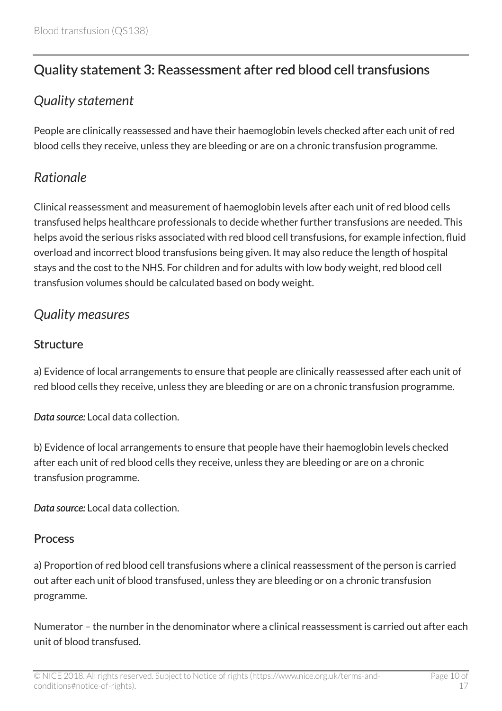# <span id="page-9-0"></span>Quality statement 3: Reassessment after red blood cell transfusions

# <span id="page-9-1"></span>*Quality statement*

People are clinically reassessed and have their haemoglobin levels checked after each unit of red blood cells they receive, unless they are bleeding or are on a chronic transfusion programme.

# <span id="page-9-2"></span>*Rationale*

Clinical reassessment and measurement of haemoglobin levels after each unit of red blood cells transfused helps healthcare professionals to decide whether further transfusions are needed. This helps avoid the serious risks associated with red blood cell transfusions, for example infection, fluid overload and incorrect blood transfusions being given. It may also reduce the length of hospital stays and the cost to the NHS. For children and for adults with low body weight, red blood cell transfusion volumes should be calculated based on body weight.

# <span id="page-9-3"></span>*Quality measures*

### **Structure**

a) Evidence of local arrangements to ensure that people are clinically reassessed after each unit of red blood cells they receive, unless they are bleeding or are on a chronic transfusion programme.

*Data source:* Local data collection.

b) Evidence of local arrangements to ensure that people have their haemoglobin levels checked after each unit of red blood cells they receive, unless they are bleeding or are on a chronic transfusion programme.

*Data source:* Local data collection.

#### **Process**

a) Proportion of red blood cell transfusions where a clinical reassessment of the person is carried out after each unit of blood transfused, unless they are bleeding or on a chronic transfusion programme.

Numerator – the number in the denominator where a clinical reassessment is carried out after each unit of blood transfused.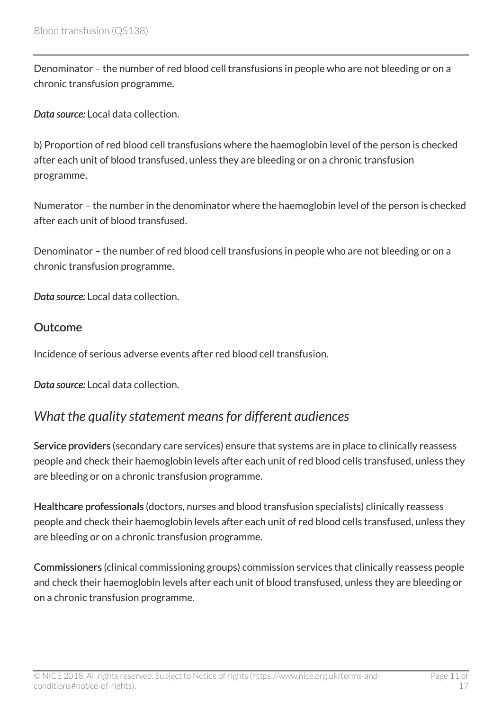Denominator – the number of red blood cell transfusions in people who are not bleeding or on a chronic transfusion programme.

*Data source:* Local data collection.

b) Proportion of red blood cell transfusions where the haemoglobin level of the person is checked after each unit of blood transfused, unless they are bleeding or on a chronic transfusion programme.

Numerator – the number in the denominator where the haemoglobin level of the person is checked after each unit of blood transfused.

Denominator – the number of red blood cell transfusions in people who are not bleeding or on a chronic transfusion programme.

*Data source:* Local data collection.

#### **Outcome**

Incidence of serious adverse events after red blood cell transfusion.

*Data source:* Local data collection.

### <span id="page-10-0"></span>*What the quality statement means for different audiences*

Service providers (secondary care services) ensure that systems are in place to clinically reassess people and check their haemoglobin levels after each unit of red blood cells transfused, unless they are bleeding or on a chronic transfusion programme.

Healthcare professionals (doctors, nurses and blood transfusion specialists) clinically reassess people and check their haemoglobin levels after each unit of red blood cells transfused, unless they are bleeding or on a chronic transfusion programme.

Commissioners (clinical commissioning groups) commission services that clinically reassess people and check their haemoglobin levels after each unit of blood transfused, unless they are bleeding or on a chronic transfusion programme.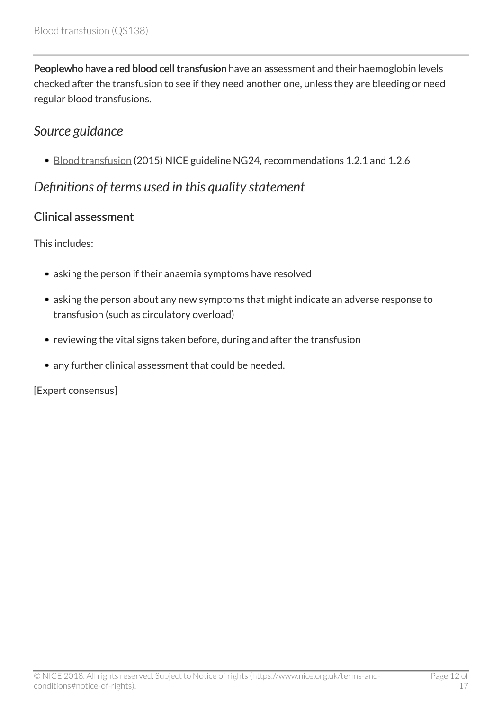Peoplewho have a red blood cell transfusion have an assessment and their haemoglobin levels checked after the transfusion to see if they need another one, unless they are bleeding or need regular blood transfusions.

### <span id="page-11-0"></span>*Source guidance*

[Blood transfusion](http://www.nice.org.uk/guidance/ng24) (2015) NICE guideline NG24, recommendations 1.2.1 and 1.2.6

# <span id="page-11-1"></span>*Definitions of terms used in this quality statement*

#### Clinical assessment

This includes:

- asking the person if their anaemia symptoms have resolved
- asking the person about any new symptoms that might indicate an adverse response to transfusion (such as circulatory overload)
- reviewing the vital signs taken before, during and after the transfusion
- any further clinical assessment that could be needed.

#### [Expert consensus]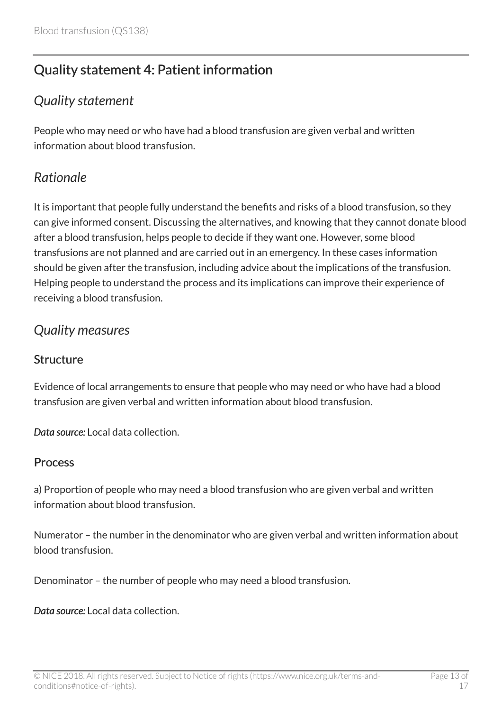# <span id="page-12-0"></span>Quality statement 4: Patient information

# <span id="page-12-1"></span>*Quality statement*

People who may need or who have had a blood transfusion are given verbal and written information about blood transfusion.

# <span id="page-12-2"></span>*Rationale*

It is important that people fully understand the benefits and risks of a blood transfusion, so they can give informed consent. Discussing the alternatives, and knowing that they cannot donate blood after a blood transfusion, helps people to decide if they want one. However, some blood transfusions are not planned and are carried out in an emergency. In these cases information should be given after the transfusion, including advice about the implications of the transfusion. Helping people to understand the process and its implications can improve their experience of receiving a blood transfusion.

### <span id="page-12-3"></span>*Quality measures*

#### **Structure**

Evidence of local arrangements to ensure that people who may need or who have had a blood transfusion are given verbal and written information about blood transfusion.

*Data source:* Local data collection.

#### **Process**

a) Proportion of people who may need a blood transfusion who are given verbal and written information about blood transfusion.

Numerator – the number in the denominator who are given verbal and written information about blood transfusion.

Denominator – the number of people who may need a blood transfusion.

*Data source:* Local data collection.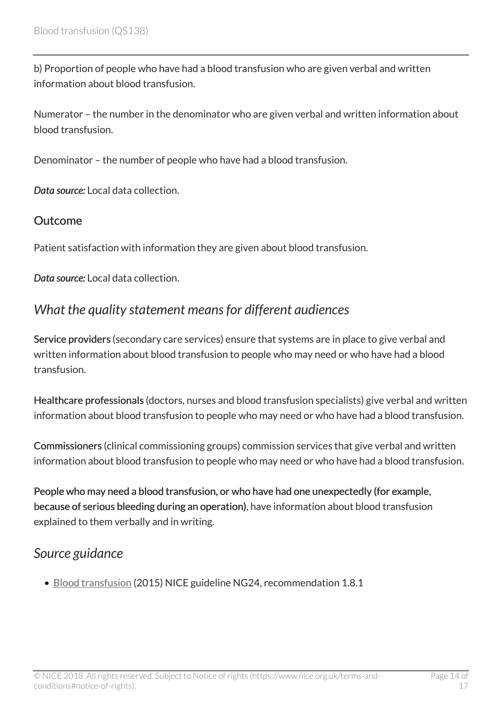b) Proportion of people who have had a blood transfusion who are given verbal and written information about blood transfusion.

Numerator – the number in the denominator who are given verbal and written information about blood transfusion.

Denominator – the number of people who have had a blood transfusion.

*Data source:* Local data collection.

#### **Outcome**

Patient satisfaction with information they are given about blood transfusion.

*Data source:* Local data collection.

### <span id="page-13-0"></span>*What the quality statement means for different audiences*

Service providers (secondary care services) ensure that systems are in place to give verbal and written information about blood transfusion to people who may need or who have had a blood transfusion.

Healthcare professionals (doctors, nurses and blood transfusion specialists) give verbal and written information about blood transfusion to people who may need or who have had a blood transfusion.

Commissioners (clinical commissioning groups) commission services that give verbal and written information about blood transfusion to people who may need or who have had a blood transfusion.

People who may need a blood transfusion, or who have had one unexpectedly (for example, because of serious bleeding during an operation), have information about blood transfusion explained to them verbally and in writing.

### <span id="page-13-1"></span>*Source guidance*

• [Blood transfusion](http://www.nice.org.uk/guidance/ng24) (2015) NICE guideline NG24, recommendation 1.8.1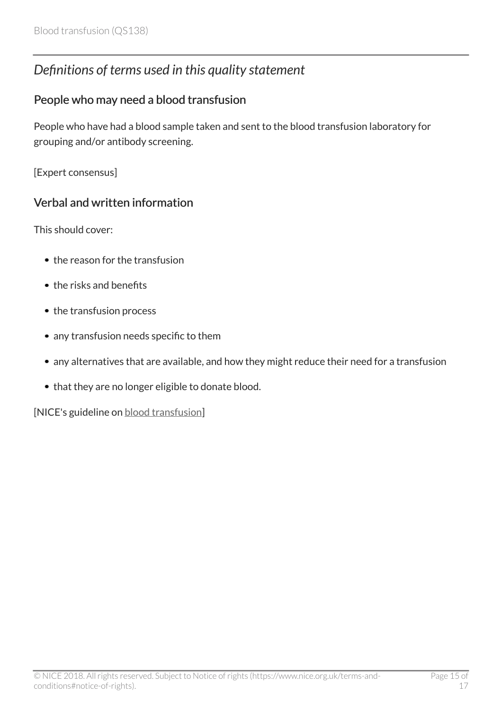# <span id="page-14-0"></span>*Definitions of terms used in this quality statement*

#### People who may need a blood transfusion

People who have had a blood sample taken and sent to the blood transfusion laboratory for grouping and/or antibody screening.

[Expert consensus]

### Verbal and written information

This should cover:

- the reason for the transfusion
- the risks and benefits
- the transfusion process
- any transfusion needs specific to them
- any alternatives that are available, and how they might reduce their need for a transfusion
- that they are no longer eligible to donate blood.

[NICE's guideline on [blood transfusion](http://www.nice.org.uk/guidance/ng24)]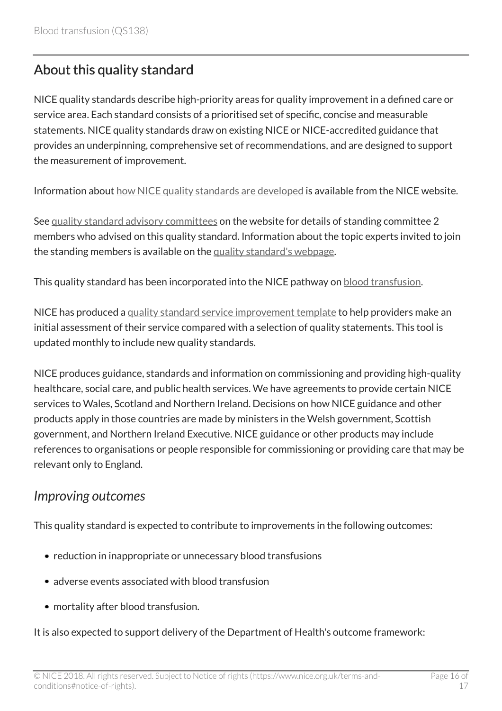# <span id="page-15-0"></span>About this quality standard

NICE quality standards describe high-priority areas for quality improvement in a defined care or service area. Each standard consists of a prioritised set of specific, concise and measurable statements. NICE quality standards draw on existing NICE or NICE-accredited guidance that provides an underpinning, comprehensive set of recommendations, and are designed to support the measurement of improvement.

Information about [how NICE quality standards are developed](https://www.nice.org.uk/standards-and-indicators/timeline-developing-quality-standards) is available from the NICE website.

See [quality standard advisory committees](http://www.nice.org.uk/Get-Involved/Meetings-in-public/Quality-Standards-Advisory-Committee) on the website for details of standing committee 2 members who advised on this quality standard. Information about the topic experts invited to join the standing members is available on the [quality standard's webpage](https://www.nice.org.uk/guidance/qs138/documents).

This quality standard has been incorporated into the NICE pathway on [blood transfusion.](http://pathways.nice.org.uk/pathways/blood-transfusion)

NICE has produced a [quality standard service improvement template](http://www.nice.org.uk/guidance/qs138/resources) to help providers make an initial assessment of their service compared with a selection of quality statements. This tool is updated monthly to include new quality standards.

NICE produces guidance, standards and information on commissioning and providing high-quality healthcare, social care, and public health services. We have agreements to provide certain NICE services to Wales, Scotland and Northern Ireland. Decisions on how NICE guidance and other products apply in those countries are made by ministers in the Welsh government, Scottish government, and Northern Ireland Executive. NICE guidance or other products may include references to organisations or people responsible for commissioning or providing care that may be relevant only to England.

### <span id="page-15-1"></span>*Improving outcomes*

This quality standard is expected to contribute to improvements in the following outcomes:

- reduction in inappropriate or unnecessary blood transfusions
- adverse events associated with blood transfusion
- mortality after blood transfusion.

It is also expected to support delivery of the Department of Health's outcome framework: